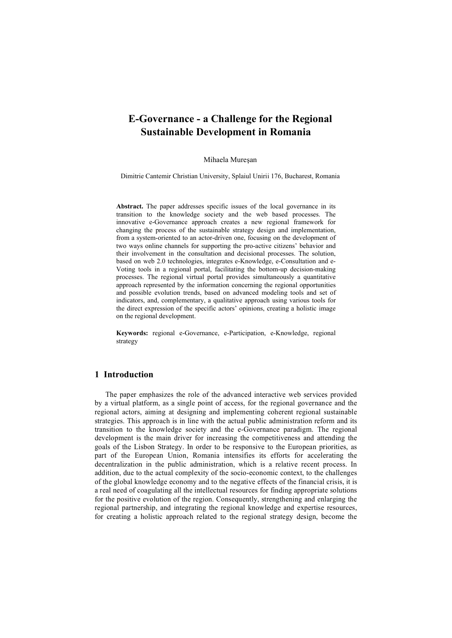# **E-Governance - a Challenge for the Regional Sustainable Development in Romania**

#### Mihaela Mureşan

Dimitrie Cantemir Christian University, Splaiul Unirii 176, Bucharest, Romania

**Abstract.** The paper addresses specific issues of the local governance in its transition to the knowledge society and the web based processes. The innovative e-Governance approach creates a new regional framework for changing the process of the sustainable strategy design and implementation, from a system-oriented to an actor-driven one, focusing on the development of two ways online channels for supporting the pro-active citizens' behavior and their involvement in the consultation and decisional processes. The solution, based on web 2.0 technologies, integrates e-Knowledge, e-Consultation and e-Voting tools in a regional portal, facilitating the bottom-up decision-making processes. The regional virtual portal provides simultaneously a quantitative approach represented by the information concerning the regional opportunities and possible evolution trends, based on advanced modeling tools and set of indicators, and, complementary, a qualitative approach using various tools for the direct expression of the specific actors' opinions, creating a holistic image on the regional development.

**Keywords:** regional e-Governance, e-Participation, e-Knowledge, regional strategy

# **1 Introduction**

The paper emphasizes the role of the advanced interactive web services provided by a virtual platform, as a single point of access, for the regional governance and the regional actors, aiming at designing and implementing coherent regional sustainable strategies. This approach is in line with the actual public administration reform and its transition to the knowledge society and the e-Governance paradigm. The regional development is the main driver for increasing the competitiveness and attending the goals of the Lisbon Strategy. In order to be responsive to the European priorities, as part of the European Union, Romania intensifies its efforts for accelerating the decentralization in the public administration, which is a relative recent process. In addition, due to the actual complexity of the socio-economic context, to the challenges of the global knowledge economy and to the negative effects of the financial crisis, it is a real need of coagulating all the intellectual resources for finding appropriate solutions for the positive evolution of the region. Consequently, strengthening and enlarging the regional partnership, and integrating the regional knowledge and expertise resources, for creating a holistic approach related to the regional strategy design, become the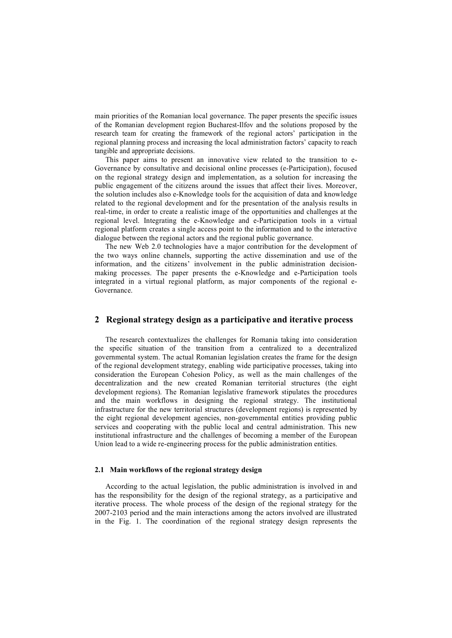main priorities of the Romanian local governance. The paper presents the specific issues of the Romanian development region Bucharest-Ilfov and the solutions proposed by the research team for creating the framework of the regional actors' participation in the regional planning process and increasing the local administration factors' capacity to reach tangible and appropriate decisions.

This paper aims to present an innovative view related to the transition to e-Governance by consultative and decisional online processes (e-Participation), focused on the regional strategy design and implementation, as a solution for increasing the public engagement of the citizens around the issues that affect their lives. Moreover, the solution includes also e-Knowledge tools for the acquisition of data and knowledge related to the regional development and for the presentation of the analysis results in real-time, in order to create a realistic image of the opportunities and challenges at the regional level. Integrating the e-Knowledge and e-Participation tools in a virtual regional platform creates a single access point to the information and to the interactive dialogue between the regional actors and the regional public governance.

The new Web 2.0 technologies have a major contribution for the development of the two ways online channels, supporting the active dissemination and use of the information, and the citizens' involvement in the public administration decisionmaking processes. The paper presents the e-Knowledge and e-Participation tools integrated in a virtual regional platform, as major components of the regional e-Governance.

# **2 Regional strategy design as a participative and iterative process**

The research contextualizes the challenges for Romania taking into consideration the specific situation of the transition from a centralized to a decentralized governmental system. The actual Romanian legislation creates the frame for the design of the regional development strategy, enabling wide participative processes, taking into consideration the European Cohesion Policy, as well as the main challenges of the decentralization and the new created Romanian territorial structures (the eight development regions). The Romanian legislative framework stipulates the procedures and the main workflows in designing the regional strategy. The institutional infrastructure for the new territorial structures (development regions) is represented by the eight regional development agencies, non-governmental entities providing public services and cooperating with the public local and central administration. This new institutional infrastructure and the challenges of becoming a member of the European Union lead to a wide re-engineering process for the public administration entities.

#### **2.1 Main workflows of the regional strategy design**

According to the actual legislation, the public administration is involved in and has the responsibility for the design of the regional strategy, as a participative and iterative process. The whole process of the design of the regional strategy for the 2007-2103 period and the main interactions among the actors involved are illustrated in the Fig. 1. The coordination of the regional strategy design represents the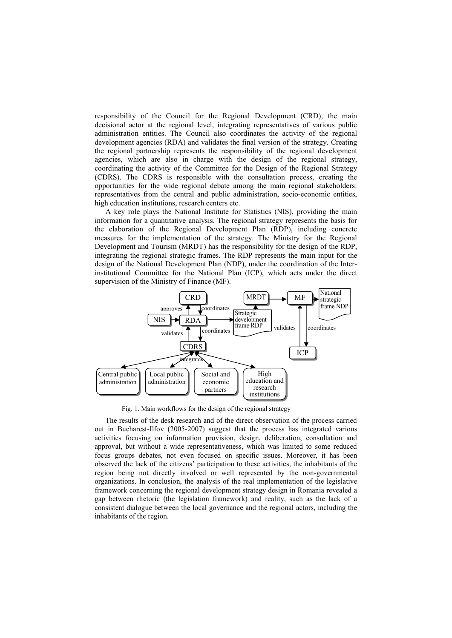responsibility of the Council for the Regional Development (CRD), the main decisional actor at the regional level, integrating representatives of various public administration entities. The Council also coordinates the activity of the regional development agencies (RDA) and validates the final version of the strategy. Creating the regional partnership represents the responsibility of the regional development agencies, which are also in charge with the design of the regional strategy, coordinating the activity of the Committee for the Design of the Regional Strategy (CDRS). The CDRS is responsible with the consultation process, creating the opportunities for the wide regional debate among the main regional stakeholders: representatives from the central and public administration, socio-economic entities, high education institutions, research centers etc.

A key role plays the National Institute for Statistics (NIS), providing the main information for a quantitative analysis. The regional strategy represents the basis for the elaboration of the Regional Development Plan (RDP), including concrete measures for the implementation of the strategy. The Ministry for the Regional Development and Tourism (MRDT) has the responsibility for the design of the RDP, integrating the regional strategic frames. The RDP represents the main input for the design of the National Development Plan (NDP), under the coordination of the Interinstitutional Committee for the National Plan (ICP), which acts under the direct supervision of the Ministry of Finance (MF).



Fig. 1. Main workflows for the design of the regional strategy

The results of the desk research and of the direct observation of the process carried out in Bucharest-Ilfov (2005-2007) suggest that the process has integrated various activities focusing on information provision, design, deliberation, consultation and approval, but without a wide representativeness, which was limited to some reduced focus groups debates, not even focused on specific issues. Moreover, it has been observed the lack of the citizens' participation to these activities, the inhabitants of the region being not directly involved or well represented by the non-governmental organizations. In conclusion, the analysis of the real implementation of the legislative framework concerning the regional development strategy design in Romania revealed a gap between rhetoric (the legislation framework) and reality, such as the lack of a consistent dialogue between the local governance and the regional actors, including the inhabitants of the region.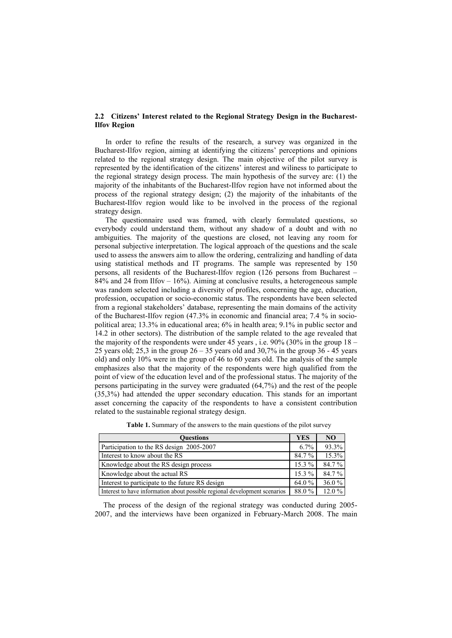### **2.2 Citizens' Interest related to the Regional Strategy Design in the Bucharest-Ilfov Region**

In order to refine the results of the research, a survey was organized in the Bucharest-Ilfov region, aiming at identifying the citizens' perceptions and opinions related to the regional strategy design. The main objective of the pilot survey is represented by the identification of the citizens' interest and wiliness to participate to the regional strategy design process. The main hypothesis of the survey are: (1) the majority of the inhabitants of the Bucharest-Ilfov region have not informed about the process of the regional strategy design; (2) the majority of the inhabitants of the Bucharest-Ilfov region would like to be involved in the process of the regional strategy design.

The questionnaire used was framed, with clearly formulated questions, so everybody could understand them, without any shadow of a doubt and with no ambiguities. The majority of the questions are closed, not leaving any room for personal subjective interpretation. The logical approach of the questions and the scale used to assess the answers aim to allow the ordering, centralizing and handling of data using statistical methods and IT programs. The sample was represented by 150 persons, all residents of the Bucharest-Ilfov region (126 persons from Bucharest – 84% and 24 from Ilfov – 16%). Aiming at conclusive results, a heterogeneous sample was random selected including a diversity of profiles, concerning the age, education, profession, occupation or socio-economic status. The respondents have been selected from a regional stakeholders' database, representing the main domains of the activity of the Bucharest-Ilfov region (47.3% in economic and financial area; 7.4 % in sociopolitical area; 13.3% in educational area; 6% in health area; 9.1% in public sector and 14.2 in other sectors). The distribution of the sample related to the age revealed that the majority of the respondents were under 45 years, i.e.  $90\%$  (30% in the group 18 – 25 years old; 25,3 in the group  $26 - 35$  years old and  $30,7\%$  in the group  $36 - 45$  years old) and only 10% were in the group of 46 to 60 years old. The analysis of the sample emphasizes also that the majority of the respondents were high qualified from the point of view of the education level and of the professional status. The majority of the persons participating in the survey were graduated (64,7%) and the rest of the people (35,3%) had attended the upper secondary education. This stands for an important asset concerning the capacity of the respondents to have a consistent contribution related to the sustainable regional strategy design.

| <b>Ouestions</b>                                                           | YES      | NO               |
|----------------------------------------------------------------------------|----------|------------------|
| Participation to the RS design 2005-2007                                   | $6.7\%$  | 93.3%            |
| Interest to know about the RS                                              | $84.7\%$ | 15.3%            |
| Knowledge about the RS design process                                      | $15.3\%$ | 84.7%            |
| Knowledge about the actual RS                                              | $15.3\%$ | 84.7%            |
| Interest to participate to the future RS design                            | $64.0\%$ | $36.0\%$         |
| Interest to have information about possible regional development scenarios | 88.0 %   | $12.0\,\sqrt{2}$ |

**Table 1.** Summary of the answers to the main questions of the pilot survey

The process of the design of the regional strategy was conducted during 2005- 2007, and the interviews have been organized in February-March 2008. The main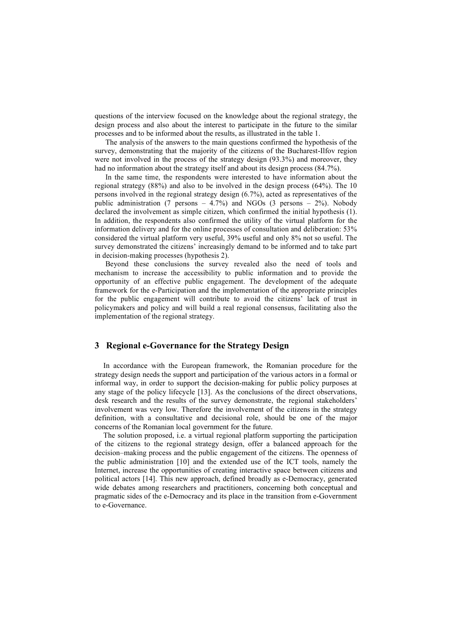questions of the interview focused on the knowledge about the regional strategy, the design process and also about the interest to participate in the future to the similar processes and to be informed about the results, as illustrated in the table 1.

The analysis of the answers to the main questions confirmed the hypothesis of the survey, demonstrating that the majority of the citizens of the Bucharest-Ilfov region were not involved in the process of the strategy design (93.3%) and moreover, they had no information about the strategy itself and about its design process (84.7%).

In the same time, the respondents were interested to have information about the regional strategy (88%) and also to be involved in the design process (64%). The 10 persons involved in the regional strategy design (6.7%), acted as representatives of the public administration (7 persons  $-4.7\%$ ) and NGOs (3 persons  $-2\%$ ). Nobody declared the involvement as simple citizen, which confirmed the initial hypothesis (1). In addition, the respondents also confirmed the utility of the virtual platform for the information delivery and for the online processes of consultation and deliberation: 53% considered the virtual platform very useful, 39% useful and only 8% not so useful. The survey demonstrated the citizens' increasingly demand to be informed and to take part in decision-making processes (hypothesis 2).

Beyond these conclusions the survey revealed also the need of tools and mechanism to increase the accessibility to public information and to provide the opportunity of an effective public engagement. The development of the adequate framework for the e-Participation and the implementation of the appropriate principles for the public engagement will contribute to avoid the citizens' lack of trust in policymakers and policy and will build a real regional consensus, facilitating also the implementation of the regional strategy.

### **3 Regional e-Governance for the Strategy Design**

In accordance with the European framework, the Romanian procedure for the strategy design needs the support and participation of the various actors in a formal or informal way, in order to support the decision-making for public policy purposes at any stage of the policy lifecycle [13]. As the conclusions of the direct observations, desk research and the results of the survey demonstrate, the regional stakeholders' involvement was very low. Therefore the involvement of the citizens in the strategy definition, with a consultative and decisional role, should be one of the major concerns of the Romanian local government for the future.

The solution proposed, i.e. a virtual regional platform supporting the participation of the citizens to the regional strategy design, offer a balanced approach for the decision–making process and the public engagement of the citizens. The openness of the public administration [10] and the extended use of the ICT tools, namely the Internet, increase the opportunities of creating interactive space between citizens and political actors [14]. This new approach, defined broadly as e-Democracy, generated wide debates among researchers and practitioners, concerning both conceptual and pragmatic sides of the e-Democracy and its place in the transition from e-Government to e-Governance.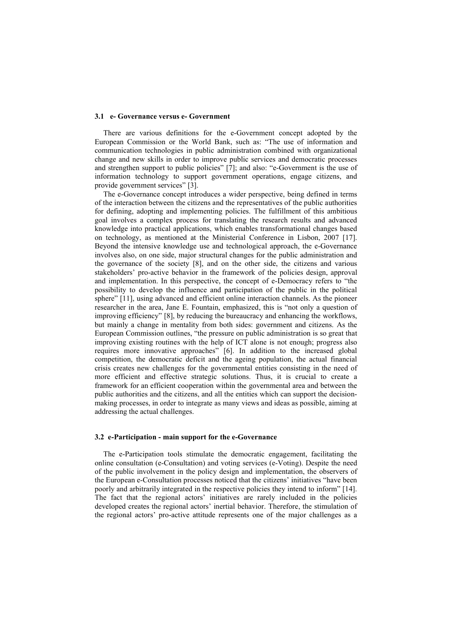#### **3.1 e- Governance versus e- Government**

There are various definitions for the e-Government concept adopted by the European Commission or the World Bank, such as: "The use of information and communication technologies in public administration combined with organizational change and new skills in order to improve public services and democratic processes and strengthen support to public policies" [7]; and also: "e-Government is the use of information technology to support government operations, engage citizens, and provide government services" [3].

The e-Governance concept introduces a wider perspective, being defined in terms of the interaction between the citizens and the representatives of the public authorities for defining, adopting and implementing policies. The fulfillment of this ambitious goal involves a complex process for translating the research results and advanced knowledge into practical applications, which enables transformational changes based on technology, as mentioned at the Ministerial Conference in Lisbon, 2007 [17]. Beyond the intensive knowledge use and technological approach, the e-Governance involves also, on one side, major structural changes for the public administration and the governance of the society [8], and on the other side, the citizens and various stakeholders' pro-active behavior in the framework of the policies design, approval and implementation. In this perspective, the concept of e-Democracy refers to "the possibility to develop the influence and participation of the public in the political sphere" [11], using advanced and efficient online interaction channels. As the pioneer researcher in the area, Jane E. Fountain, emphasized, this is "not only a question of improving efficiency" [8], by reducing the bureaucracy and enhancing the workflows, but mainly a change in mentality from both sides: government and citizens. As the European Commission outlines, "the pressure on public administration is so great that improving existing routines with the help of ICT alone is not enough; progress also requires more innovative approaches" [6]. In addition to the increased global competition, the democratic deficit and the ageing population, the actual financial crisis creates new challenges for the governmental entities consisting in the need of more efficient and effective strategic solutions. Thus, it is crucial to create a framework for an efficient cooperation within the governmental area and between the public authorities and the citizens, and all the entities which can support the decisionmaking processes, in order to integrate as many views and ideas as possible, aiming at addressing the actual challenges.

#### **3.2 e-Participation - main support for the e-Governance**

The e-Participation tools stimulate the democratic engagement, facilitating the online consultation (e-Consultation) and voting services (e-Voting). Despite the need of the public involvement in the policy design and implementation, the observers of the European e-Consultation processes noticed that the citizens' initiatives "have been poorly and arbitrarily integrated in the respective policies they intend to inform" [14]. The fact that the regional actors' initiatives are rarely included in the policies developed creates the regional actors' inertial behavior. Therefore, the stimulation of the regional actors' pro-active attitude represents one of the major challenges as a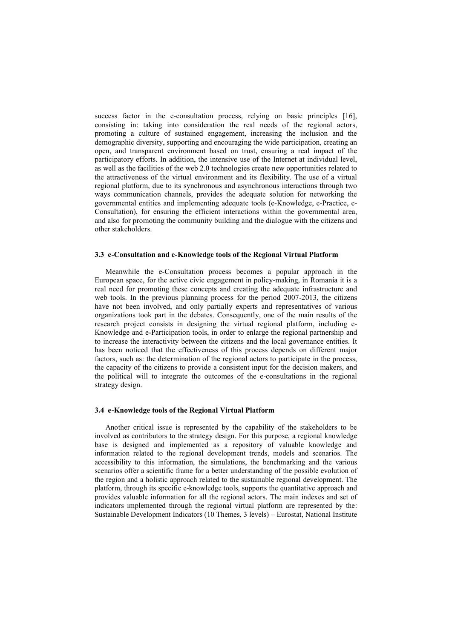success factor in the e-consultation process, relying on basic principles [16], consisting in: taking into consideration the real needs of the regional actors, promoting a culture of sustained engagement, increasing the inclusion and the demographic diversity, supporting and encouraging the wide participation, creating an open, and transparent environment based on trust, ensuring a real impact of the participatory efforts. In addition, the intensive use of the Internet at individual level, as well as the facilities of the web 2.0 technologies create new opportunities related to the attractiveness of the virtual environment and its flexibility. The use of a virtual regional platform, due to its synchronous and asynchronous interactions through two ways communication channels, provides the adequate solution for networking the governmental entities and implementing adequate tools (e-Knowledge, e-Practice, e-Consultation), for ensuring the efficient interactions within the governmental area, and also for promoting the community building and the dialogue with the citizens and other stakeholders.

#### **3.3 e-Consultation and e-Knowledge tools of the Regional Virtual Platform**

Meanwhile the e-Consultation process becomes a popular approach in the European space, for the active civic engagement in policy-making, in Romania it is a real need for promoting these concepts and creating the adequate infrastructure and web tools. In the previous planning process for the period 2007-2013, the citizens have not been involved, and only partially experts and representatives of various organizations took part in the debates. Consequently, one of the main results of the research project consists in designing the virtual regional platform, including e-Knowledge and e-Participation tools, in order to enlarge the regional partnership and to increase the interactivity between the citizens and the local governance entities. It has been noticed that the effectiveness of this process depends on different major factors, such as: the determination of the regional actors to participate in the process, the capacity of the citizens to provide a consistent input for the decision makers, and the political will to integrate the outcomes of the e-consultations in the regional strategy design.

#### **3.4 e-Knowledge tools of the Regional Virtual Platform**

Another critical issue is represented by the capability of the stakeholders to be involved as contributors to the strategy design. For this purpose, a regional knowledge base is designed and implemented as a repository of valuable knowledge and information related to the regional development trends, models and scenarios. The accessibility to this information, the simulations, the benchmarking and the various scenarios offer a scientific frame for a better understanding of the possible evolution of the region and a holistic approach related to the sustainable regional development. The platform, through its specific e-knowledge tools, supports the quantitative approach and provides valuable information for all the regional actors. The main indexes and set of indicators implemented through the regional virtual platform are represented by the: Sustainable Development Indicators (10 Themes, 3 levels) – Eurostat, National Institute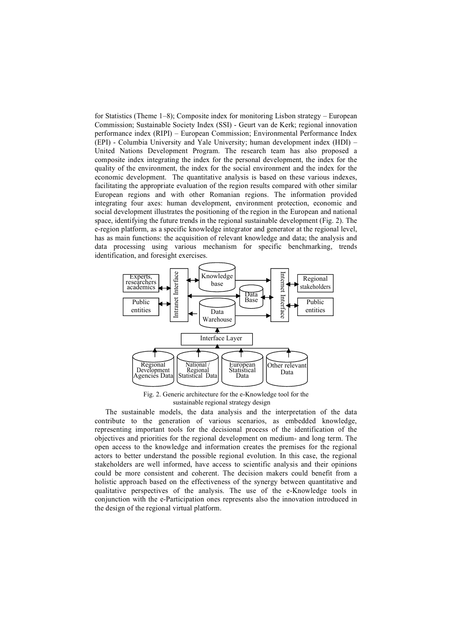for Statistics (Theme 1–8); Composite index for monitoring Lisbon strategy – European Commission; Sustainable Society Index (SSI) - Geurt van de Kerk; regional innovation performance index (RIPI) – European Commission; Environmental Performance Index (EPI) - Columbia University and Yale University; human development index (HDI) – United Nations Development Program. The research team has also proposed a composite index integrating the index for the personal development, the index for the quality of the environment, the index for the social environment and the index for the economic development. The quantitative analysis is based on these various indexes, facilitating the appropriate evaluation of the region results compared with other similar European regions and with other Romanian regions. The information provided integrating four axes: human development, environment protection, economic and social development illustrates the positioning of the region in the European and national space, identifying the future trends in the regional sustainable development (Fig. 2). The e-region platform, as a specific knowledge integrator and generator at the regional level, has as main functions: the acquisition of relevant knowledge and data; the analysis and data processing using various mechanism for specific benchmarking, trends identification, and foresight exercises.



Fig. 2. Generic architecture for the e-Knowledge tool for the sustainable regional strategy design

The sustainable models, the data analysis and the interpretation of the data contribute to the generation of various scenarios, as embedded knowledge, representing important tools for the decisional process of the identification of the objectives and priorities for the regional development on medium- and long term. The open access to the knowledge and information creates the premises for the regional actors to better understand the possible regional evolution. In this case, the regional stakeholders are well informed, have access to scientific analysis and their opinions could be more consistent and coherent. The decision makers could benefit from a holistic approach based on the effectiveness of the synergy between quantitative and qualitative perspectives of the analysis. The use of the e-Knowledge tools in conjunction with the e-Participation ones represents also the innovation introduced in the design of the regional virtual platform.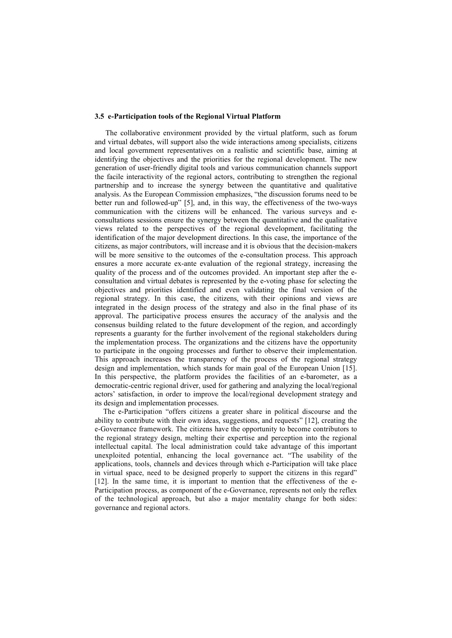#### **3.5 e-Participation tools of the Regional Virtual Platform**

The collaborative environment provided by the virtual platform, such as forum and virtual debates, will support also the wide interactions among specialists, citizens and local government representatives on a realistic and scientific base, aiming at identifying the objectives and the priorities for the regional development. The new generation of user-friendly digital tools and various communication channels support the facile interactivity of the regional actors, contributing to strengthen the regional partnership and to increase the synergy between the quantitative and qualitative analysis. As the European Commission emphasizes, "the discussion forums need to be better run and followed-up" [5], and, in this way, the effectiveness of the two-ways communication with the citizens will be enhanced. The various surveys and econsultations sessions ensure the synergy between the quantitative and the qualitative views related to the perspectives of the regional development, facilitating the identification of the major development directions. In this case, the importance of the citizens, as major contributors, will increase and it is obvious that the decision-makers will be more sensitive to the outcomes of the e-consultation process. This approach ensures a more accurate ex-ante evaluation of the regional strategy, increasing the quality of the process and of the outcomes provided. An important step after the econsultation and virtual debates is represented by the e-voting phase for selecting the objectives and priorities identified and even validating the final version of the regional strategy. In this case, the citizens, with their opinions and views are integrated in the design process of the strategy and also in the final phase of its approval. The participative process ensures the accuracy of the analysis and the consensus building related to the future development of the region, and accordingly represents a guaranty for the further involvement of the regional stakeholders during the implementation process. The organizations and the citizens have the opportunity to participate in the ongoing processes and further to observe their implementation. This approach increases the transparency of the process of the regional strategy design and implementation, which stands for main goal of the European Union [15]. In this perspective, the platform provides the facilities of an e-barometer, as a democratic-centric regional driver, used for gathering and analyzing the local/regional actors' satisfaction, in order to improve the local/regional development strategy and its design and implementation processes.

The e-Participation "offers citizens a greater share in political discourse and the ability to contribute with their own ideas, suggestions, and requests" [12], creating the e-Governance framework. The citizens have the opportunity to become contributors to the regional strategy design, melting their expertise and perception into the regional intellectual capital. The local administration could take advantage of this important unexploited potential, enhancing the local governance act. "The usability of the applications, tools, channels and devices through which e-Participation will take place in virtual space, need to be designed properly to support the citizens in this regard" [12]. In the same time, it is important to mention that the effectiveness of the e-Participation process, as component of the e-Governance, represents not only the reflex of the technological approach, but also a major mentality change for both sides: governance and regional actors.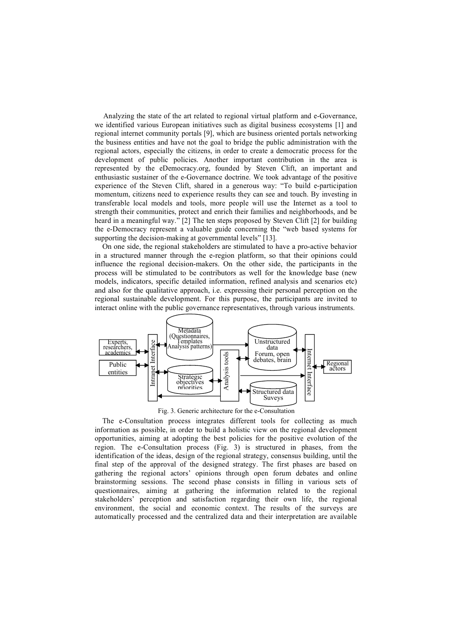Analyzing the state of the art related to regional virtual platform and e-Governance, we identified various European initiatives such as digital business ecosystems [1] and regional internet community portals [9], which are business oriented portals networking the business entities and have not the goal to bridge the public administration with the regional actors, especially the citizens, in order to create a democratic process for the development of public policies. Another important contribution in the area is represented by the eDemocracy.org, founded by Steven Clift, an important and enthusiastic sustainer of the e-Governance doctrine. We took advantage of the positive experience of the Steven Clift, shared in a generous way: "To build e-participation momentum, citizens need to experience results they can see and touch. By investing in transferable local models and tools, more people will use the Internet as a tool to strength their communities, protect and enrich their families and neighborhoods, and be heard in a meaningful way." [2] The ten steps proposed by Steven Clift [2] for building the e-Democracy represent a valuable guide concerning the "web based systems for supporting the decision-making at governmental levels" [13].

On one side, the regional stakeholders are stimulated to have a pro-active behavior in a structured manner through the e-region platform, so that their opinions could influence the regional decision-makers. On the other side, the participants in the process will be stimulated to be contributors as well for the knowledge base (new models, indicators, specific detailed information, refined analysis and scenarios etc) and also for the qualitative approach, i.e. expressing their personal perception on the regional sustainable development. For this purpose, the participants are invited to interact online with the public governance representatives, through various instruments.



Fig. 3. Generic architecture for the e-Consultation

The e-Consultation process integrates different tools for collecting as much information as possible, in order to build a holistic view on the regional development opportunities, aiming at adopting the best policies for the positive evolution of the region. The e-Consultation process (Fig. 3) is structured in phases, from the identification of the ideas, design of the regional strategy, consensus building, until the final step of the approval of the designed strategy. The first phases are based on gathering the regional actors' opinions through open forum debates and online brainstorming sessions. The second phase consists in filling in various sets of questionnaires, aiming at gathering the information related to the regional stakeholders' perception and satisfaction regarding their own life, the regional environment, the social and economic context. The results of the surveys are automatically processed and the centralized data and their interpretation are available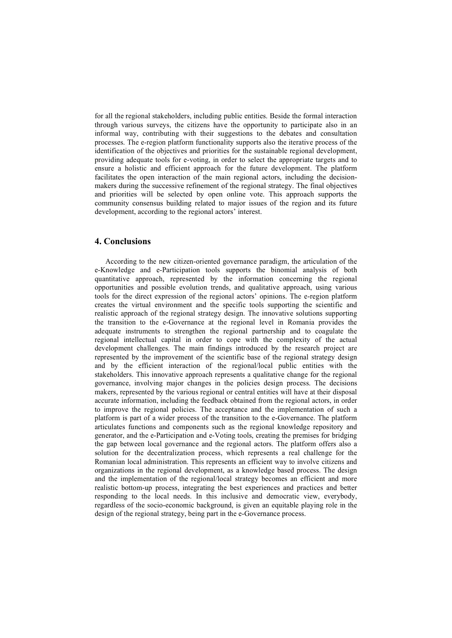for all the regional stakeholders, including public entities. Beside the formal interaction through various surveys, the citizens have the opportunity to participate also in an informal way, contributing with their suggestions to the debates and consultation processes. The e-region platform functionality supports also the iterative process of the identification of the objectives and priorities for the sustainable regional development, providing adequate tools for e-voting, in order to select the appropriate targets and to ensure a holistic and efficient approach for the future development. The platform facilitates the open interaction of the main regional actors, including the decisionmakers during the successive refinement of the regional strategy. The final objectives and priorities will be selected by open online vote. This approach supports the community consensus building related to major issues of the region and its future development, according to the regional actors' interest.

## **4. Conclusions**

According to the new citizen-oriented governance paradigm, the articulation of the e-Knowledge and e-Participation tools supports the binomial analysis of both quantitative approach, represented by the information concerning the regional opportunities and possible evolution trends, and qualitative approach, using various tools for the direct expression of the regional actors' opinions. The e-region platform creates the virtual environment and the specific tools supporting the scientific and realistic approach of the regional strategy design. The innovative solutions supporting the transition to the e-Governance at the regional level in Romania provides the adequate instruments to strengthen the regional partnership and to coagulate the regional intellectual capital in order to cope with the complexity of the actual development challenges. The main findings introduced by the research project are represented by the improvement of the scientific base of the regional strategy design and by the efficient interaction of the regional/local public entities with the stakeholders. This innovative approach represents a qualitative change for the regional governance, involving major changes in the policies design process. The decisions makers, represented by the various regional or central entities will have at their disposal accurate information, including the feedback obtained from the regional actors, in order to improve the regional policies. The acceptance and the implementation of such a platform is part of a wider process of the transition to the e-Governance. The platform articulates functions and components such as the regional knowledge repository and generator, and the e-Participation and e-Voting tools, creating the premises for bridging the gap between local governance and the regional actors. The platform offers also a solution for the decentralization process, which represents a real challenge for the Romanian local administration. This represents an efficient way to involve citizens and organizations in the regional development, as a knowledge based process. The design and the implementation of the regional/local strategy becomes an efficient and more realistic bottom-up process, integrating the best experiences and practices and better responding to the local needs. In this inclusive and democratic view, everybody, regardless of the socio-economic background, is given an equitable playing role in the design of the regional strategy, being part in the e-Governance process.